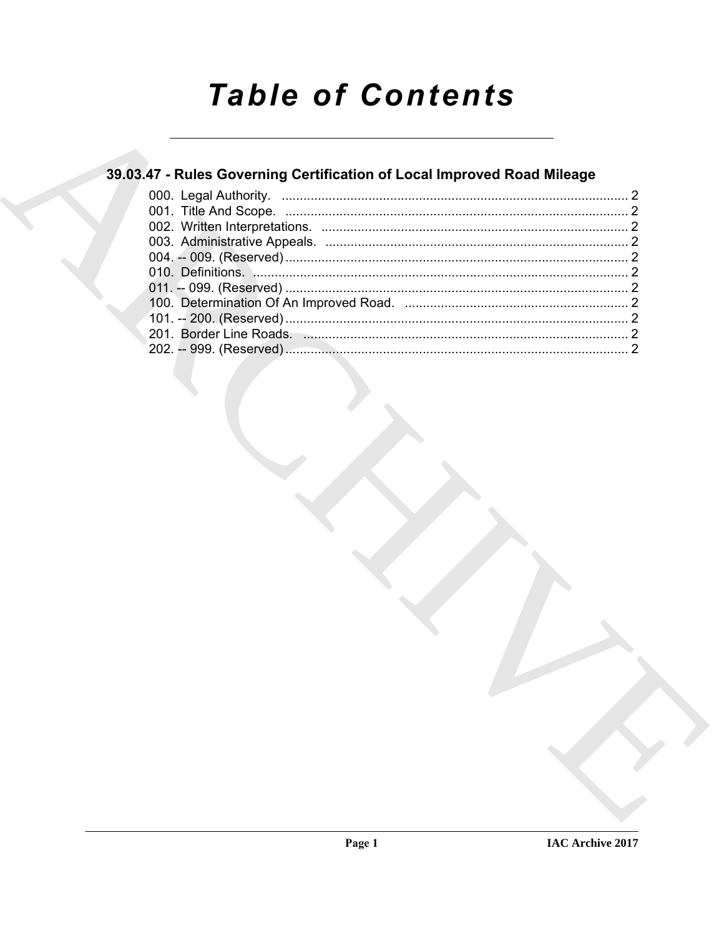# **Table of Contents**

### 39.03.47 - Rules Governing Certification of Local Improved Road Mileage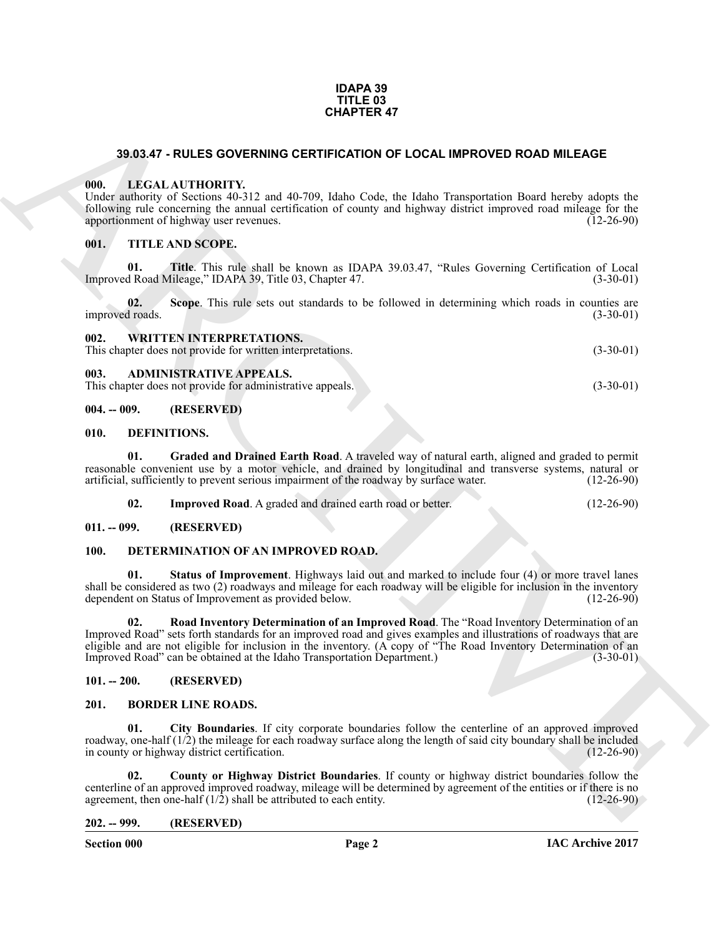#### **IDAPA 39 TITLE 03 CHAPTER 47**

#### <span id="page-1-0"></span>**39.03.47 - RULES GOVERNING CERTIFICATION OF LOCAL IMPROVED ROAD MILEAGE**

#### <span id="page-1-1"></span>**000. LEGAL AUTHORITY.**

#### <span id="page-1-3"></span><span id="page-1-2"></span>**001. TITLE AND SCOPE.**

| <b>CHAPTER 47</b> |                        |                                                                                                                                                                                                                                                                                                                                                                                                                |              |  |  |
|-------------------|------------------------|----------------------------------------------------------------------------------------------------------------------------------------------------------------------------------------------------------------------------------------------------------------------------------------------------------------------------------------------------------------------------------------------------------------|--------------|--|--|
|                   |                        | 39.03.47 - RULES GOVERNING CERTIFICATION OF LOCAL IMPROVED ROAD MILEAGE                                                                                                                                                                                                                                                                                                                                        |              |  |  |
|                   | 000.                   | LEGAL AUTHORITY.<br>Under authority of Sections 40-312 and 40-709, Idaho Code, the Idaho Transportation Board hereby adopts the<br>following rule concerning the annual certification of county and highway district improved road mileage for the<br>apportionment of highway user revenues.                                                                                                                  | $(12-26-90)$ |  |  |
|                   | 001.                   | TITLE AND SCOPE.                                                                                                                                                                                                                                                                                                                                                                                               |              |  |  |
|                   | 01.                    | Title. This rule shall be known as IDAPA 39.03.47, "Rules Governing Certification of Local<br>Improved Road Mileage," IDAPA 39, Title 03, Chapter 47.                                                                                                                                                                                                                                                          | $(3-30-01)$  |  |  |
|                   | 02.<br>improved roads. | Scope. This rule sets out standards to be followed in determining which roads in counties are                                                                                                                                                                                                                                                                                                                  | $(3-30-01)$  |  |  |
|                   | 002.                   | <b>WRITTEN INTERPRETATIONS.</b><br>This chapter does not provide for written interpretations.                                                                                                                                                                                                                                                                                                                  | $(3-30-01)$  |  |  |
|                   | 003.                   | <b>ADMINISTRATIVE APPEALS.</b><br>This chapter does not provide for administrative appeals.                                                                                                                                                                                                                                                                                                                    | $(3-30-01)$  |  |  |
|                   | $004. - 009.$          | (RESERVED)                                                                                                                                                                                                                                                                                                                                                                                                     |              |  |  |
|                   | 010.                   | DEFINITIONS.                                                                                                                                                                                                                                                                                                                                                                                                   |              |  |  |
|                   | 01.                    | Graded and Drained Earth Road. A traveled way of natural earth, aligned and graded to permit<br>reasonable convenient use by a motor vehicle, and drained by longitudinal and transverse systems, natural or<br>artificial, sufficiently to prevent serious impairment of the roadway by surface water.                                                                                                        | $(12-26-90)$ |  |  |
|                   | 02.                    | Improved Road. A graded and drained earth road or better.                                                                                                                                                                                                                                                                                                                                                      | $(12-26-90)$ |  |  |
|                   | $011. - 099.$          | (RESERVED)                                                                                                                                                                                                                                                                                                                                                                                                     |              |  |  |
|                   | <b>100.</b>            | DETERMINATION OF AN IMPROVED ROAD.                                                                                                                                                                                                                                                                                                                                                                             |              |  |  |
|                   | 01.                    | <b>Status of Improvement</b> . Highways laid out and marked to include four (4) or more travel lanes<br>shall be considered as two (2) roadways and mileage for each roadway will be eligible for inclusion in the inventory<br>dependent on Status of Improvement as provided below.                                                                                                                          | $(12-26-90)$ |  |  |
|                   | 02.                    | Road Inventory Determination of an Improved Road. The "Road Inventory Determination of an<br>Improved Road" sets forth standards for an improved road and gives examples and illustrations of roadways that are<br>eligible and are not eligible for inclusion in the inventory. (A copy of "The Road Inventory Determination of an<br>Improved Road" can be obtained at the Idaho Transportation Department.) | $(3-30-01)$  |  |  |
|                   | $101. - 200.$          | (RESERVED)                                                                                                                                                                                                                                                                                                                                                                                                     |              |  |  |
|                   | 201.                   | <b>BORDER LINE ROADS.</b>                                                                                                                                                                                                                                                                                                                                                                                      |              |  |  |
|                   | 01.                    | City Boundaries. If city corporate boundaries follow the centerline of an approved improved<br>roadway, one-half (1/2) the mileage for each roadway surface along the length of said city boundary shall be included<br>in county or highway district certification.                                                                                                                                           | $(12-26-90)$ |  |  |
|                   | 02.                    | County or Highway District Boundaries. If county or highway district boundaries follow the<br>centerline of an approved improved roadway, mileage will be determined by agreement of the entities or if there is no<br>agreement, then one-half $(1/2)$ shall be attributed to each entity.                                                                                                                    | $(12-26-90)$ |  |  |
|                   | $202. - 999.$          | (RESERVED)                                                                                                                                                                                                                                                                                                                                                                                                     |              |  |  |

#### <span id="page-1-15"></span><span id="page-1-6"></span><span id="page-1-5"></span><span id="page-1-4"></span>**010. DEFINITIONS.**

<span id="page-1-20"></span><span id="page-1-19"></span><span id="page-1-18"></span><span id="page-1-16"></span>

| 02. | <b>Improved Road.</b> A graded and drained earth road or better. | $(12-26-90)$ |
|-----|------------------------------------------------------------------|--------------|
|-----|------------------------------------------------------------------|--------------|

#### <span id="page-1-7"></span>**011. -- 099. (RESERVED)**

#### <span id="page-1-17"></span><span id="page-1-8"></span>**100. DETERMINATION OF AN IMPROVED ROAD.**

#### <span id="page-1-9"></span>**101. -- 200. (RESERVED)**

#### <span id="page-1-13"></span><span id="page-1-12"></span><span id="page-1-10"></span>**201. BORDER LINE ROADS.**

#### <span id="page-1-14"></span><span id="page-1-11"></span>**202. -- 999. (RESERVED)**

**Section 000 Page 2**